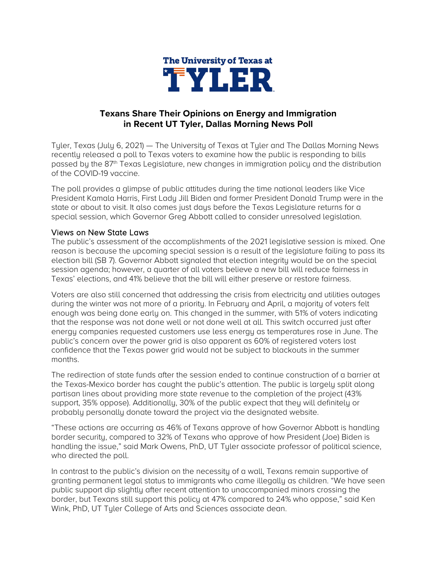

## **Texans Share Their Opinions on Energy and Immigration in Recent UT Tyler, Dallas Morning News Poll**

Tyler, Texas (July 6, 2021) — The University of Texas at Tyler and The Dallas Morning News recently released a poll to Texas voters to examine how the public is responding to bills passed by the  $87<sup>th</sup>$  Texas Legislature, new changes in immigration policy and the distribution of the COVID-19 vaccine.

The poll provides a glimpse of public attitudes during the time national leaders like Vice President Kamala Harris, First Lady Jill Biden and former President Donald Trump were in the state or about to visit. It also comes just days before the Texas Legislature returns for a special session, which Governor Greg Abbott called to consider unresolved legislation.

## Views on New State Laws

The public's assessment of the accomplishments of the 2021 legislative session is mixed. One reason is because the upcoming special session is a result of the legislature failing to pass its election bill (SB 7). Governor Abbott signaled that election integrity would be on the special session agenda; however, a quarter of all voters believe a new bill will reduce fairness in Texas' elections, and 41% believe that the bill will either preserve or restore fairness.

Voters are also still concerned that addressing the crisis from electricity and utilities outages during the winter was not more of a priority. In February and April, a majority of voters felt enough was being done early on. This changed in the summer, with 51% of voters indicating that the response was not done well or not done well at all. This switch occurred just after energy companies requested customers use less energy as temperatures rose in June. The public's concern over the power grid is also apparent as 60% of registered voters lost confidence that the Texas power grid would not be subject to blackouts in the summer months.

The redirection of state funds after the session ended to continue construction of a barrier at the Texas-Mexico border has caught the public's attention. The public is largely split along partisan lines about providing more state revenue to the completion of the project (43% support, 35% oppose). Additionally, 30% of the public expect that they will definitely or probably personally donate toward the project via the designated website.

"These actions are occurring as 46% of Texans approve of how Governor Abbott is handling border security, compared to 32% of Texans who approve of how President (Joe) Biden is handling the issue," said Mark Owens, PhD, UT Tyler associate professor of political science, who directed the poll.

In contrast to the public's division on the necessity of a wall, Texans remain supportive of granting permanent legal status to immigrants who came illegally as children. "We have seen public support dip slightly after recent attention to unaccompanied minors crossing the border, but Texans still support this policy at 47% compared to 24% who oppose," said Ken Wink, PhD, UT Tyler College of Arts and Sciences associate dean.